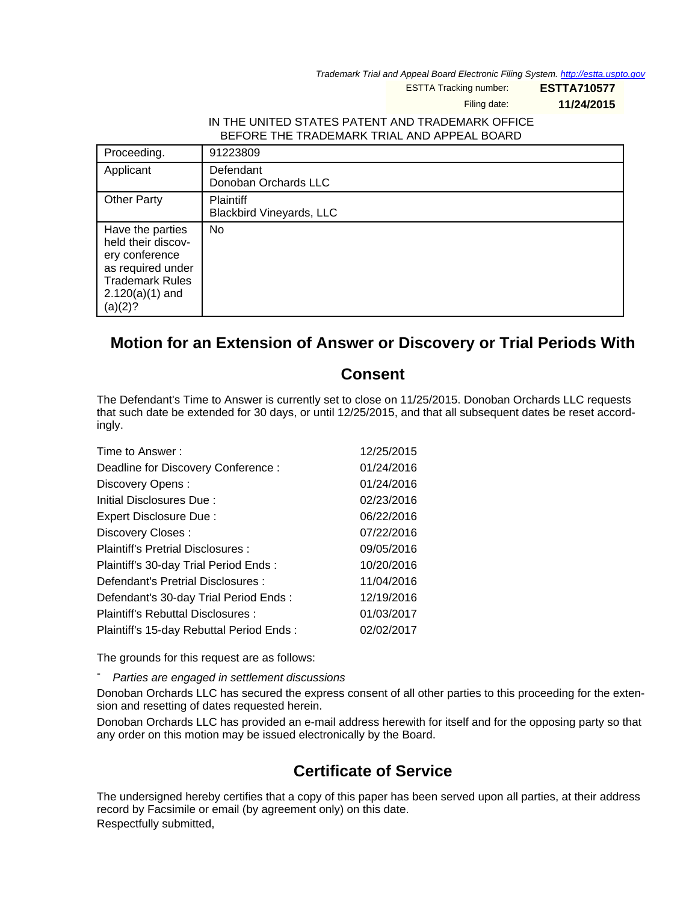Trademark Trial and Appeal Board Electronic Filing System. <http://estta.uspto.gov>

ESTTA Tracking number: **ESTTA710577**

Filing date: **11/24/2015**

## IN THE UNITED STATES PATENT AND TRADEMARK OFFICE BEFORE THE TRADEMARK TRIAL AND APPEAL BOARD

| Proceeding.                                                                                                                             | 91223809                                            |
|-----------------------------------------------------------------------------------------------------------------------------------------|-----------------------------------------------------|
| Applicant                                                                                                                               | Defendant<br>Donoban Orchards LLC                   |
| <b>Other Party</b>                                                                                                                      | <b>Plaintiff</b><br><b>Blackbird Vineyards, LLC</b> |
| Have the parties<br>held their discov-<br>ery conference<br>as required under<br><b>Trademark Rules</b><br>$2.120(a)(1)$ and<br>(a)(2)? | No                                                  |

## **Motion for an Extension of Answer or Discovery or Trial Periods With**

## **Consent**

The Defendant's Time to Answer is currently set to close on 11/25/2015. Donoban Orchards LLC requests that such date be extended for 30 days, or until 12/25/2015, and that all subsequent dates be reset accordingly.

| Time to Answer:                          | 12/25/2015 |
|------------------------------------------|------------|
| Deadline for Discovery Conference:       | 01/24/2016 |
| Discovery Opens:                         | 01/24/2016 |
| Initial Disclosures Due:                 | 02/23/2016 |
| Expert Disclosure Due:                   | 06/22/2016 |
| Discovery Closes:                        | 07/22/2016 |
| Plaintiff's Pretrial Disclosures :       | 09/05/2016 |
| Plaintiff's 30-day Trial Period Ends:    | 10/20/2016 |
| Defendant's Pretrial Disclosures :       | 11/04/2016 |
| Defendant's 30-day Trial Period Ends:    | 12/19/2016 |
| Plaintiff's Rebuttal Disclosures:        | 01/03/2017 |
| Plaintiff's 15-day Rebuttal Period Ends: | 02/02/2017 |

The grounds for this request are as follows:

Parties are engaged in settlement discussions

Donoban Orchards LLC has secured the express consent of all other parties to this proceeding for the extension and resetting of dates requested herein.

Donoban Orchards LLC has provided an e-mail address herewith for itself and for the opposing party so that any order on this motion may be issued electronically by the Board.

## **Certificate of Service**

The undersigned hereby certifies that a copy of this paper has been served upon all parties, at their address record by Facsimile or email (by agreement only) on this date. Respectfully submitted,